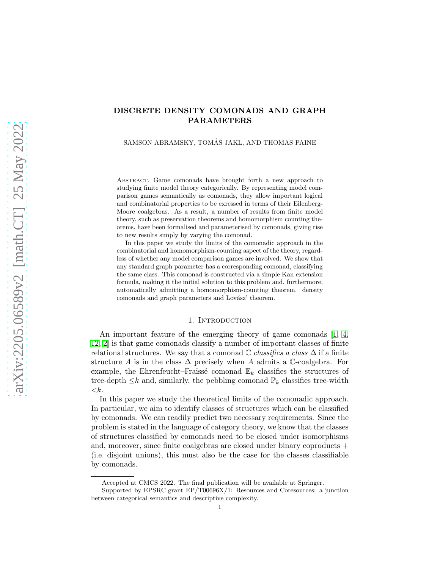# DISCRETE DENSITY COMONADS AND GRAPH PARAMETERS

SAMSON ABRAMSKY, TOMÁŠ JAKL, AND THOMAS PAINE

Abstract. Game comonads have brought forth a new approach to studying finite model theory categorically. By representing model comparison games semantically as comonads, they allow important logical and combinatorial properties to be exressed in terms of their Eilenberg-Moore coalgebras. As a result, a number of results from finite model theory, such as preservation theorems and homomorphism counting theorems, have been formalised and parameterised by comonads, giving rise to new results simply by varying the comonad.

In this paper we study the limits of the comonadic approach in the combinatorial and homomorphism-counting aspect of the theory, regardless of whether any model comparison games are involved. We show that any standard graph parameter has a corresponding comonad, classifying the same class. This comonad is constructed via a simple Kan extension formula, making it the initial solution to this problem and, furthermore, automatically admitting a homomorphism-counting theorem. density comonads and graph parameters and Lovász' theorem.

## 1. INTRODUCTION

An important feature of the emerging theory of game comonads [\[1,](#page-19-0) [4,](#page-20-0) [12,](#page-20-1) [2\]](#page-19-1) is that game comonads classify a number of important classes of finite relational structures. We say that a comonad  $\mathbb C$  classifies a class  $\Delta$  if a finite structure A is in the class  $\Delta$  precisely when A admits a C-coalgebra. For example, the Ehrenfeucht–Fraüssé comonad  $\mathbb{E}_k$  classifies the structures of tree-depth  $\leq k$  and, similarly, the pebbling comonad  $\mathbb{P}_k$  classifies tree-width  $\langle k$ .

In this paper we study the theoretical limits of the comonadic approach. In particular, we aim to identify classes of structures which can be classified by comonads. We can readily predict two necessary requirements. Since the problem is stated in the language of category theory, we know that the classes of structures classified by comonads need to be closed under isomorphisms and, moreover, since finite coalgebras are closed under binary coproducts + (i.e. disjoint unions), this must also be the case for the classes classifiable by comonads.

Accepted at CMCS 2022. The final publication will be available at Springer.

Supported by EPSRC grant EP/T00696X/1: Resources and Coresources: a junction between categorical semantics and descriptive complexity.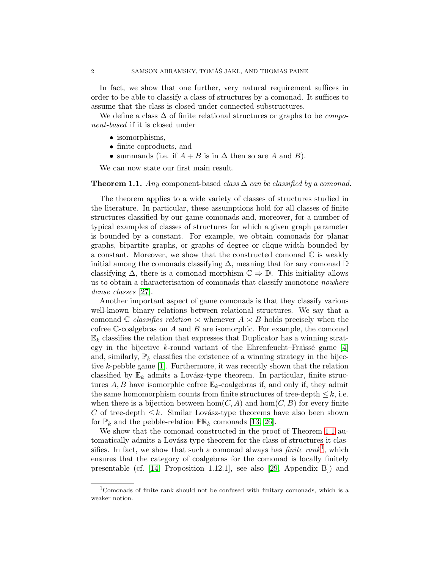In fact, we show that one further, very natural requirement suffices in order to be able to classify a class of structures by a comonad. It suffices to assume that the class is closed under connected substructures.

We define a class  $\Delta$  of finite relational structures or graphs to be *compo*nent-based if it is closed under

- isomorphisms,
- finite coproducts, and
- summands (i.e. if  $A + B$  is in  $\Delta$  then so are A and B).

We can now state our first main result.

#### <span id="page-1-0"></span>**Theorem 1.1.** Any component-based class  $\Delta$  can be classified by a comonad.

The theorem applies to a wide variety of classes of structures studied in the literature. In particular, these assumptions hold for all classes of finite structures classified by our game comonads and, moreover, for a number of typical examples of classes of structures for which a given graph parameter is bounded by a constant. For example, we obtain comonads for planar graphs, bipartite graphs, or graphs of degree or clique-width bounded by a constant. Moreover, we show that the constructed comonad  $\mathbb C$  is weakly initial among the comonads classifying  $\Delta$ , meaning that for any comonad D classifying  $\Delta$ , there is a comonad morphism  $\mathbb{C} \Rightarrow \mathbb{D}$ . This initiality allows us to obtain a characterisation of comonads that classify monotone nowhere dense classes [\[27\]](#page-21-0).

Another important aspect of game comonads is that they classify various well-known binary relations between relational structures. We say that a comonad C classifies relation  $\leq$  whenever  $A \leq B$  holds precisely when the cofree  $\mathbb{C}$ -coalgebras on A and B are isomorphic. For example, the comonad  $\mathbb{E}_k$  classifies the relation that expresses that Duplicator has a winning strat-egy in the bijective k-round variant of the Ehrenfeucht–Fraüssé game [\[4\]](#page-20-0) and, similarly,  $\mathbb{P}_k$  classifies the existence of a winning strategy in the bijective k-pebble game [\[1\]](#page-19-0). Furthermore, it was recently shown that the relation classified by  $\mathbb{E}_k$  admits a Lovász-type theorem. In particular, finite structures A, B have isomorphic cofree  $\mathbb{E}_k$ -coalgebras if, and only if, they admit the same homomorphism counts from finite structures of tree-depth  $\leq k$ , i.e. when there is a bijection between hom $(C, A)$  and hom $(C, B)$  for every finite C of tree-depth  $\leq k$ . Similar Lovász-type theorems have also been shown for  $\mathbb{P}_k$  and the pebble-relation  $\mathbb{PR}_k$  comonads [\[13,](#page-20-2) [26\]](#page-21-1).

We show that the comonad constructed in the proof of Theorem [1.1](#page-1-0) automatically admits a Lovász-type theorem for the class of structures it classifies. In fact, we show that such a comonad always has *finite rank*<sup>[1](#page-1-1)</sup>, which ensures that the category of coalgebras for the comonad is locally finitely presentable (cf. [\[14,](#page-20-3) Proposition 1.12.1], see also [\[29,](#page-21-2) Appendix B]) and

<span id="page-1-1"></span><sup>1</sup>Comonads of finite rank should not be confused with finitary comonads, which is a weaker notion.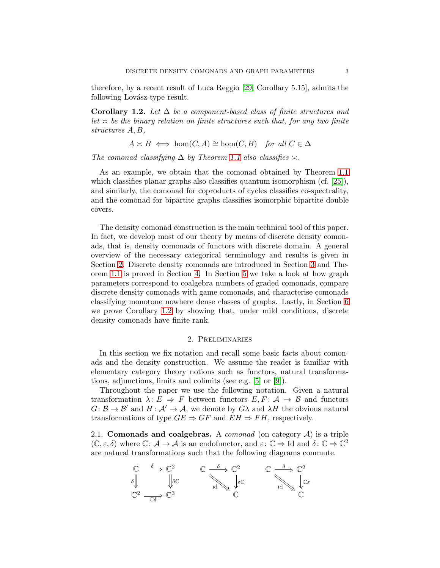therefore, by a recent result of Luca Reggio [\[29,](#page-21-2) Corollary 5.15], admits the following Lovász-type result.

<span id="page-2-1"></span>Corollary 1.2. Let  $\Delta$  be a component-based class of finite structures and  $let \times be$  the binary relation on finite structures such that, for any two finite structures A, B,

$$
A \times B \iff \hom(C, A) \cong \hom(C, B) \quad \text{for all } C \in \Delta
$$

The comonad classifying  $\Delta$  by Theorem [1.1](#page-1-0) also classifies  $\approx$ .

As an example, we obtain that the comonad obtained by Theorem [1.1](#page-1-0) which classifies planar graphs also classifies quantum isomorphism (cf. [\[25\]](#page-20-4)), and similarly, the comonad for coproducts of cycles classifies co-spectrality, and the comonad for bipartite graphs classifies isomorphic bipartite double covers.

The density comonad construction is the main technical tool of this paper. In fact, we develop most of our theory by means of discrete density comonads, that is, density comonads of functors with discrete domain. A general overview of the necessary categorical terminology and results is given in Section [2.](#page-2-0) Discrete density comonads are introduced in Section [3](#page-6-0) and Theorem [1.1](#page-1-0) is proved in Section [4.](#page-7-0) In Section [5](#page-11-0) we take a look at how graph parameters correspond to coalgebra numbers of graded comonads, compare discrete density comonads with game comonads, and characterise comonads classifying monotone nowhere dense classes of graphs. Lastly, in Section [6](#page-14-0) we prove Corollary [1.2](#page-2-1) by showing that, under mild conditions, discrete density comonads have finite rank.

# 2. Preliminaries

<span id="page-2-0"></span>In this section we fix notation and recall some basic facts about comonads and the density construction. We assume the reader is familiar with elementary category theory notions such as functors, natural transformations, adjunctions, limits and colimits (see e.g. [\[5\]](#page-20-5) or [\[9\]](#page-20-6)).

Throughout the paper we use the following notation. Given a natural transformation  $\lambda: E \Rightarrow F$  between functors  $E, F: \mathcal{A} \rightarrow \mathcal{B}$  and functors  $G: \mathcal{B} \to \mathcal{B}'$  and  $H: \mathcal{A}' \to \mathcal{A}$ , we denote by  $G\lambda$  and  $\lambda H$  the obvious natural transformations of type  $GE \Rightarrow GF$  and  $EH \Rightarrow FH$ , respectively.

2.1. Comonads and coalgebras. A *comonad* (on category  $A$ ) is a triple  $(\mathbb{C}, \varepsilon, \delta)$  where  $\mathbb{C} : \mathcal{A} \to \mathcal{A}$  is an endofunctor, and  $\varepsilon : \mathbb{C} \to \text{Id}$  and  $\delta : \mathbb{C} \to \mathbb{C}^2$ are natural transformations such that the following diagrams commute.

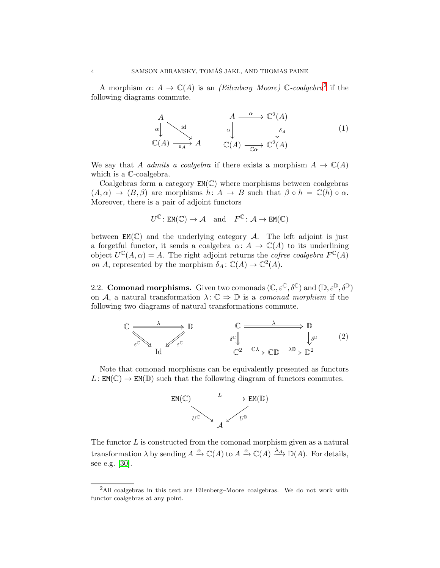A morphism  $\alpha: A \to \mathbb{C}(A)$  is an *(Eilenberg–Moore)*  $\mathbb{C}\text{-}coalgebra^2$  $\mathbb{C}\text{-}coalgebra^2$  if the following diagrams commute.

<span id="page-3-1"></span>
$$
A \longrightarrow \mathbb{C}^{2}(A)
$$
\n
$$
\downarrow^{\text{id}} \qquad \qquad A \longrightarrow \mathbb{C}^{2}(A)
$$
\n
$$
\mathbb{C}(A) \longrightarrow \qquad A \qquad \qquad \downarrow^{\text{id}} \qquad \qquad \downarrow^{\text{id}} \qquad \qquad (1)
$$
\n
$$
\mathbb{C}(A) \longrightarrow \qquad \mathbb{C}(A) \longrightarrow \mathbb{C}^{2}(A)
$$

We say that A admits a coalgebra if there exists a morphism  $A \to \mathbb{C}(A)$ which is a  $\mathbb{C}\text{-coalgebra.}$ 

Coalgebras form a category  $EM(\mathbb{C})$  where morphisms between coalgebras  $(A, \alpha) \rightarrow (B, \beta)$  are morphisms  $h: A \rightarrow B$  such that  $\beta \circ h = \mathbb{C}(h) \circ \alpha$ . Moreover, there is a pair of adjoint functors

$$
U^{\mathbb{C}}\colon \mathtt{EM}(\mathbb{C}) \to \mathcal{A} \quad \text{and} \quad F^{\mathbb{C}}\colon \mathcal{A} \to \mathtt{EM}(\mathbb{C})
$$

between  $EM(\mathbb{C})$  and the underlying category A. The left adjoint is just a forgetful functor, it sends a coalgebra  $\alpha: A \to \mathbb{C}(A)$  to its underlining object  $U^{\mathbb{C}}(A, \alpha) = A$ . The right adjoint returns the *cofree coalgebra*  $F^{\mathbb{C}}(A)$ on A, represented by the morphism  $\delta_A : \mathbb{C}(A) \to \mathbb{C}^2(A)$ .

<span id="page-3-2"></span>2.2. Comonad morphisms. Given two comonads  $(\mathbb{C}, \varepsilon^{\mathbb{C}}, \delta^{\mathbb{C}})$  and  $(\mathbb{D}, \varepsilon^{\mathbb{D}}, \delta^{\mathbb{D}})$ on A, a natural transformation  $\lambda: \mathbb{C} \Rightarrow \mathbb{D}$  is a comonad morphism if the following two diagrams of natural transformations commute.



Note that comonad morphisms can be equivalently presented as functors  $L: EM(\mathbb{C}) \to EM(\mathbb{D})$  such that the following diagram of functors commutes.

<span id="page-3-3"></span>

The functor  $L$  is constructed from the comonad morphism given as a natural transformation  $\lambda$  by sending  $A \xrightarrow{\alpha} \mathbb{C}(A)$  to  $A \xrightarrow{\alpha} \mathbb{C}(A) \xrightarrow{\lambda_A} \mathbb{D}(A)$ . For details, see e.g. [\[30\]](#page-21-3).

<span id="page-3-0"></span> $2$ All coalgebras in this text are Eilenberg–Moore coalgebras. We do not work with functor coalgebras at any point.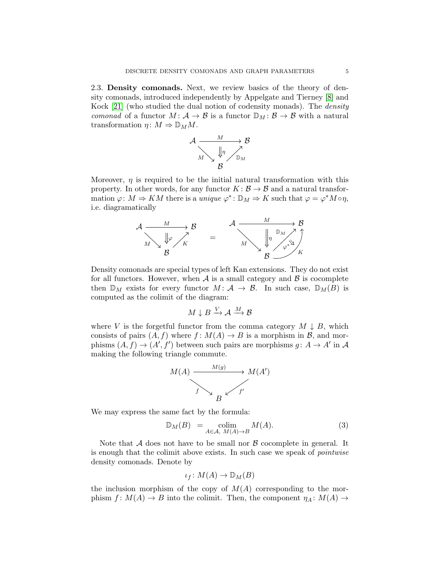<span id="page-4-1"></span>2.3. Density comonads. Next, we review basics of the theory of density comonads, introduced independently by Appelgate and Tierney [\[8\]](#page-20-7) and Kock [\[21\]](#page-20-8) (who studied the dual notion of codensity monads). The density comonad of a functor  $M: \mathcal{A} \to \mathcal{B}$  is a functor  $\mathbb{D}_M: \mathcal{B} \to \mathcal{B}$  with a natural transformation  $\eta \colon M \Rightarrow \mathbb{D}_M M$ .



Moreover,  $\eta$  is required to be the initial natural transformation with this property. In other words, for any functor  $K: \mathcal{B} \to \mathcal{B}$  and a natural transformation  $\varphi: M \Rightarrow KM$  there is a unique  $\varphi^* : \mathbb{D}_M \Rightarrow K$  such that  $\varphi = \varphi^* M \circ \eta$ , i.e. diagramatically



Density comonads are special types of left Kan extensions. They do not exist for all functors. However, when  $A$  is a small category and  $B$  is cocomplete then  $\mathbb{D}_M$  exists for every functor  $M: \mathcal{A} \to \mathcal{B}$ . In such case,  $\mathbb{D}_M(B)$  is computed as the colimit of the diagram:

$$
M\downarrow B\stackrel{V}{\rightarrow} \mathcal{A}\stackrel{M}{\longrightarrow} \mathcal{B}
$$

where V is the forgetful functor from the comma category  $M \downarrow B$ , which consists of pairs  $(A, f)$  where  $f: M(A) \to B$  is a morphism in  $\mathcal{B}$ , and morphisms  $(A, f) \rightarrow (A', f')$  between such pairs are morphisms  $g: A \rightarrow A'$  in A making the following triangle commute.



We may express the same fact by the formula:

$$
\mathbb{D}_M(B) = \operatorname*{colim}_{A \in \mathcal{A}, M(A) \to B} M(A). \tag{3}
$$

Note that  $A$  does not have to be small nor  $B$  cocomplete in general. It is enough that the colimit above exists. In such case we speak of pointwise density comonads. Denote by

<span id="page-4-0"></span>
$$
\iota_f\colon M(A)\to \mathbb{D}_M(B)
$$

the inclusion morphism of the copy of  $M(A)$  corresponding to the morphism  $f: M(A) \to B$  into the colimit. Then, the component  $\eta_A: M(A) \to$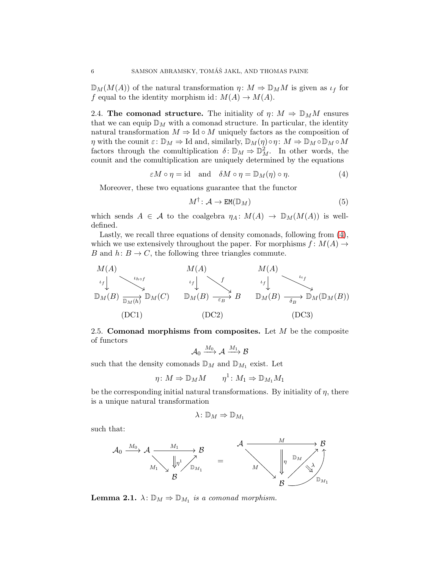$\mathbb{D}_M(M(A))$  of the natural transformation  $\eta \colon M \Rightarrow \mathbb{D}_M M$  is given as  $\iota_f$  for f equal to the identity morphism id:  $M(A) \to M(A)$ .

<span id="page-5-1"></span>2.4. The comonad structure. The initiality of  $\eta: M \Rightarrow \mathbb{D}_M M$  ensures that we can equip  $\mathbb{D}_M$  with a comonad structure. In particular, the identity natural transformation  $M \Rightarrow \text{Id} \circ M$  uniquely factors as the composition of  $\eta$  with the counit  $\varepsilon: \mathbb{D}_M \to \mathrm{Id}$  and, similarly,  $\mathbb{D}_M(\eta) \circ \eta: M \to \mathbb{D}_M \circ \mathbb{D}_M \circ M$ factors through the comultiplication  $\delta: \mathbb{D}_M \Rightarrow \mathbb{D}_M^2$ . In other words, the counit and the comultiplication are uniquely determined by the equations

$$
\varepsilon M \circ \eta = \text{id} \quad \text{and} \quad \delta M \circ \eta = \mathbb{D}_M(\eta) \circ \eta. \tag{4}
$$

Moreover, these two equations guarantee that the functor

<span id="page-5-2"></span><span id="page-5-0"></span>
$$
M^{\dagger} : \mathcal{A} \to \text{EM}(\mathbb{D}_M)
$$
 (5)

which sends  $A \in \mathcal{A}$  to the coalgebra  $\eta_A \colon M(A) \to \mathbb{D}_M(M(A))$  is welldefined.

Lastly, we recall three equations of density comonads, following from [\(4\)](#page-5-0), which we use extensively throughout the paper. For morphisms  $f: M(A) \rightarrow$ B and  $h: B \to C$ , the following three triangles commute.



<span id="page-5-4"></span>2.5. Comonad morphisms from composites. Let  $M$  be the composite of functors

$$
\mathcal{A}_0 \xrightarrow{M_0} \mathcal{A} \xrightarrow{M_1} \mathcal{B}
$$

such that the density comonads  $\mathbb{D}_M$  and  $\mathbb{D}_{M_1}$  exist. Let

$$
\eta \colon M \Rightarrow \mathbb{D}_M M \qquad \eta^1 \colon M_1 \Rightarrow \mathbb{D}_{M_1} M_1
$$

be the corresponding initial natural transformations. By initiality of  $\eta$ , there is a unique natural transformation

$$
\lambda\colon \mathbb{D}_M\Rightarrow \mathbb{D}_{M_1}
$$

such that:



<span id="page-5-3"></span>**Lemma 2.1.**  $\lambda: \mathbb{D}_M \Rightarrow \mathbb{D}_{M_1}$  is a comonad morphism.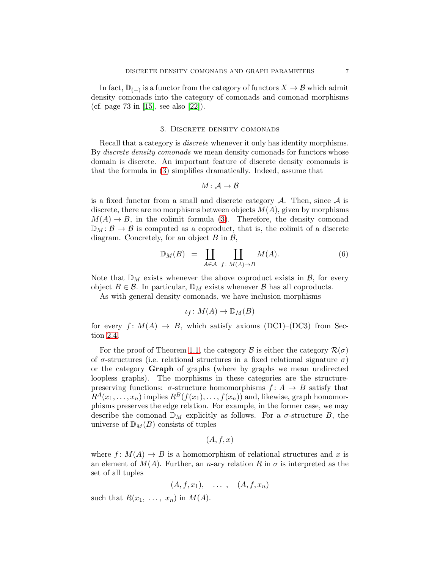In fact,  $\mathbb{D}_{(-)}$  is a functor from the category of functors  $X \to \mathcal{B}$  which admit density comonads into the category of comonads and comonad morphisms (cf. page 73 in [\[15\]](#page-20-9), see also [\[22\]](#page-20-10)).

#### 3. Discrete density comonads

<span id="page-6-0"></span>Recall that a category is discrete whenever it only has identity morphisms. By *discrete density comonads* we mean density comonads for functors whose domain is discrete. An important feature of discrete density comonads is that the formula in [\(3\)](#page-4-0) simplifies dramatically. Indeed, assume that

<span id="page-6-1"></span>
$$
M\colon \mathcal{A}\to \mathcal{B}
$$

is a fixed functor from a small and discrete category  $A$ . Then, since  $A$  is discrete, there are no morphisms between objects  $M(A)$ , given by morphisms  $M(A) \rightarrow B$ , in the colimit formula [\(3\)](#page-4-0). Therefore, the density comonad  $\mathbb{D}_M : \mathcal{B} \to \mathcal{B}$  is computed as a coproduct, that is, the colimit of a discrete diagram. Concretely, for an object  $B$  in  $\mathcal{B}$ ,

$$
\mathbb{D}_M(B) = \coprod_{A \in \mathcal{A}} \coprod_{f \colon M(A) \to B} M(A). \tag{6}
$$

Note that  $\mathbb{D}_M$  exists whenever the above coproduct exists in  $\mathcal{B}$ , for every object  $B \in \mathcal{B}$ . In particular,  $\mathbb{D}_M$  exists whenever  $\mathcal{B}$  has all coproducts.

As with general density comonads, we have inclusion morphisms

$$
\iota_f\colon M(A)\to \mathbb{D}_M(B)
$$

for every  $f: M(A) \to B$ , which satisfy axioms (DC1)–(DC3) from Section [2.4.](#page-5-1)

For the proof of Theorem [1.1,](#page-1-0) the category B is either the category  $\mathcal{R}(\sigma)$ of  $\sigma$ -structures (i.e. relational structures in a fixed relational signature  $\sigma$ ) or the category Graph of graphs (where by graphs we mean undirected loopless graphs). The morphisms in these categories are the structurepreserving functions:  $\sigma$ -structure homomorphisms  $f: A \rightarrow B$  satisfy that  $R^{A}(x_1,\ldots,x_n)$  implies  $R^{B}(f(x_1),\ldots,f(x_n))$  and, likewise, graph homomorphisms preserves the edge relation. For example, in the former case, we may describe the comonad  $\mathbb{D}_M$  explicitly as follows. For a  $\sigma$ -structure B, the universe of  $\mathbb{D}_M(B)$  consists of tuples

$$
(A, f, x)
$$

where  $f: M(A) \to B$  is a homomorphism of relational structures and x is an element of  $M(A)$ . Further, an n-ary relation R in  $\sigma$  is interpreted as the set of all tuples

$$
(A, f, x_1), \quad \ldots \; , \quad (A, f, x_n)
$$

such that  $R(x_1, \ldots, x_n)$  in  $M(A)$ .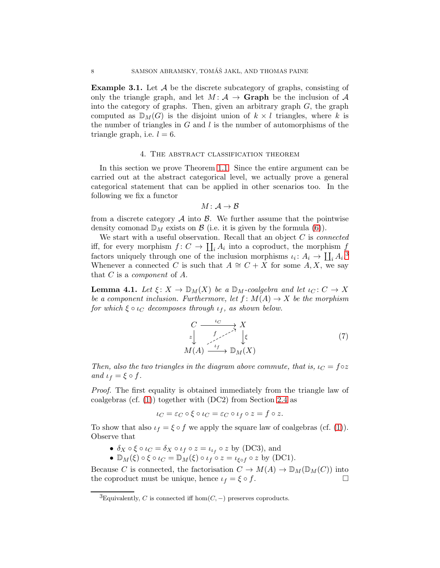**Example 3.1.** Let  $\mathcal A$  be the discrete subcategory of graphs, consisting of only the triangle graph, and let  $M: \mathcal{A} \to \mathbf{Graph}$  be the inclusion of  $\mathcal{A}$ into the category of graphs. Then, given an arbitrary graph  $G$ , the graph computed as  $\mathbb{D}_M(G)$  is the disjoint union of  $k \times l$  triangles, where k is the number of triangles in  $G$  and  $l$  is the number of automorphisms of the triangle graph, i.e.  $l = 6$ .

# 4. The abstract classification theorem

<span id="page-7-0"></span>In this section we prove Theorem [1.1.](#page-1-0) Since the entire argument can be carried out at the abstract categorical level, we actually prove a general categorical statement that can be applied in other scenarios too. In the following we fix a functor

$$
M\colon \mathcal{A}\to \mathcal{B}
$$

from a discrete category  $\mathcal A$  into  $\mathcal B$ . We further assume that the pointwise density comonad  $\mathbb{D}_M$  exists on  $\mathcal B$  (i.e. it is given by the formula [\(6\)](#page-6-1)).

We start with a useful observation. Recall that an object  $C$  is *connected* iff, for every morphism  $f: C \to \coprod_i A_i$  into a coproduct, the morphism  $f_i$ factors uniquely through one of the inclusion morphisms  $\iota_i: A_i \to \coprod_i A_i$ .<sup>[3](#page-7-1)</sup> Whenever a connected C is such that  $A \cong C + X$  for some A, X, we say that  $C$  is a *component* of  $A$ .

<span id="page-7-2"></span>**Lemma 4.1.** Let  $\xi: X \to \mathbb{D}_M(X)$  be a  $\mathbb{D}_M$ -coalgebra and let  $\iota_C: C \to X$ be a component inclusion. Furthermore, let  $f: M(A) \to X$  be the morphism for which  $\xi \circ \iota_C$  decomposes through  $\iota_f$ , as shown below.

$$
\begin{array}{ccc}\nC & \xrightarrow{t_C} & X \\
\downarrow z & \xrightarrow{f} & \downarrow \xi \\
M(A) & \xrightarrow{t_f} & \mathbb{D}_M(X)\n\end{array} \tag{7}
$$

Then, also the two triangles in the diagram above commute, that is,  $\iota_C = f \circ z$ and  $\iota_f = \xi \circ f$ .

Proof. The first equality is obtained immediately from the triangle law of coalgebras (cf.  $(1)$ ) together with  $(DC2)$  from Section [2.4](#page-5-1) as

$$
\iota_C = \varepsilon_C \circ \xi \circ \iota_C = \varepsilon_C \circ \iota_f \circ z = f \circ z.
$$

To show that also  $\iota_f = \xi \circ f$  we apply the square law of coalgebras (cf. [\(1\)](#page-3-1)). Observe that

- $\delta_X \circ \xi \circ \iota_C = \delta_X \circ \iota_f \circ z = \iota_{\iota_f} \circ z$  by (DC3), and
- $\mathbb{D}_M(\xi) \circ \xi \circ \iota_C = \mathbb{D}_M(\xi) \circ \iota_f \circ z = \iota_{\xi \circ f} \circ z$  by (DC1).

Because C is connected, the factorisation  $C \to M(A) \to \mathbb{D}_M(\mathbb{D}_M(C))$  into the coproduct must be unique, hence  $\iota_f = \xi \circ f$ .

<span id="page-7-1"></span><sup>&</sup>lt;sup>3</sup>Equivalently, C is connected iff hom $(C, -)$  preserves coproducts.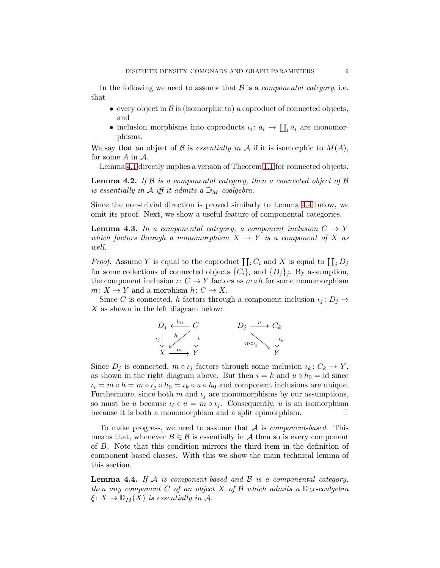In the following we need to assume that  $\mathcal{B}$  is a *componental category*, i.e. that

- every object in  $\beta$  is (isomorphic to) a coproduct of connected objects, and
- inclusion morphisms into coproducts  $\iota_i: a_i \to \coprod_i a_i$  are monomorphisms.

We say that an object of B is essentially in A if it is isomorphic to  $M(A)$ , for some  $A$  in  $A$ .

Lemma [4.1](#page-7-2) directly implies a version of Theorem [1.1](#page-1-0) for connected objects.

<span id="page-8-2"></span>**Lemma 4.2.** If  $\beta$  is a componental category, then a connected object of  $\beta$ is essentially in A iff it admits a  $\mathbb{D}_M$ -coalgebra.

Since the non-trivial direction is proved similarly to Lemma [4.4](#page-8-0) below, we omit its proof. Next, we show a useful feature of componental categories.

<span id="page-8-1"></span>**Lemma 4.3.** In a componental category, a component inclusion  $C \rightarrow Y$ which factors through a monomorphism  $X \to Y$  is a component of X as well.

*Proof.* Assume Y is equal to the coproduct  $\prod_i C_i$  and X is equal to  $\prod_j D_j$ for some collections of connected objects  $\{C_i\}_i$  and  $\{D_j\}_j$ . By assumption, the component inclusion  $\iota: C \to Y$  factors as  $m \circ h$  for some monomorphism  $m: X \to Y$  and a morphism  $h: C \to X$ .

Since C is connected, h factors through a component inclusion  $\iota_i : D_i \to$ X as shown in the left diagram below:



Since  $D_j$  is connected,  $m \circ \iota_j$  factors through some inclusion  $\iota_k : C_k \to Y$ , as shown in the right diagram above. But then  $i = k$  and  $u \circ h_0 = id$  since  $\iota_i = m \circ h = m \circ \iota_j \circ h_0 = \iota_k \circ u \circ h_0$  and component inclusions are unique. Furthermore, since both m and  $\iota_i$  are monomorphisms by our assumptions, so must be u because  $\iota_{\ell} \circ u = m \circ \iota_i$ . Consequently, u is an isomorphism because it is both a monomorphism and a split epimorphism.

To make progress, we need to assume that  $A$  is *component-based*. This means that, whenever  $B \in \mathcal{B}$  is essentially in A then so is every component of B. Note that this condition mirrors the third item in the definition of component-based classes. With this we show the main technical lemma of this section.

<span id="page-8-0"></span>**Lemma 4.4.** If A is component-based and B is a componental category, then any component C of an object X of B which admits a  $\mathbb{D}_M$ -coalgebra  $\xi: X \to \mathbb{D}_M(X)$  is essentially in A.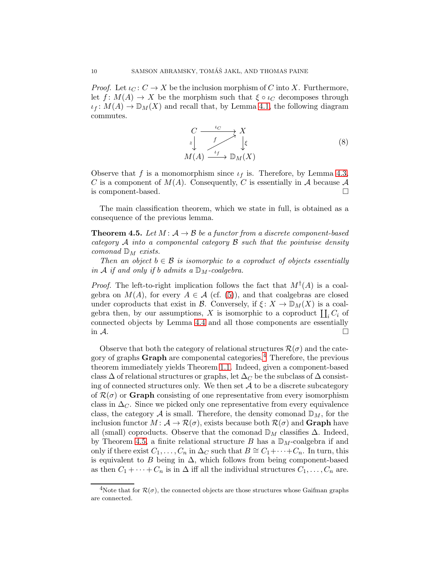*Proof.* Let  $\iota_C : C \to X$  be the inclusion morphism of C into X. Furthermore, let  $f: M(A) \to X$  be the morphism such that  $\xi \circ \iota_C$  decomposes through  $\iota_f: M(A) \to \mathbb{D}_M(X)$  and recall that, by Lemma [4.1,](#page-7-2) the following diagram commutes.

<span id="page-9-2"></span>
$$
\begin{array}{ccc}\nC & \xrightarrow{t_C} & X \\
\downarrow & f & \downarrow \\
M(A) & \xrightarrow{t_f} & \mathbb{D}_M(X)\n\end{array} \tag{8}
$$

Observe that f is a monomorphism since  $\iota_f$  is. Therefore, by Lemma [4.3,](#page-8-1) C is a component of  $M(A)$ . Consequently, C is essentially in A because A is component-based.

The main classification theorem, which we state in full, is obtained as a consequence of the previous lemma.

<span id="page-9-1"></span>**Theorem 4.5.** Let  $M: A \rightarrow B$  be a functor from a discrete component-based category  $A$  into a componental category  $B$  such that the pointwise density comonad  $\mathbb{D}_M$  exists.

Then an object  $b \in \mathcal{B}$  is isomorphic to a coproduct of objects essentially in A if and only if b admits a  $\mathbb{D}_M$ -coalgebra.

*Proof.* The left-to-right implication follows the fact that  $M^{\dagger}(A)$  is a coalgebra on  $M(A)$ , for every  $A \in \mathcal{A}$  (cf. [\(5\)](#page-5-2)), and that coalgebras are closed under coproducts that exist in B. Conversely, if  $\xi: X \to \mathbb{D}_M(X)$  is a coalgebra then, by our assumptions, X is isomorphic to a coproduct  $\prod_i C_i$  of connected objects by Lemma [4.4](#page-8-0) and all those components are essentially in  $\mathcal A$ .

Observe that both the category of relational structures  $\mathcal{R}(\sigma)$  and the cate-gory of graphs Graph are componental categories.<sup>[4](#page-9-0)</sup> Therefore, the previous theorem immediately yields Theorem [1.1.](#page-1-0) Indeed, given a component-based class  $\Delta$  of relational structures or graphs, let  $\Delta_C$  be the subclass of  $\Delta$  consisting of connected structures only. We then set  $A$  to be a discrete subcategory of  $\mathcal{R}(\sigma)$  or **Graph** consisting of one representative from every isomorphism class in  $\Delta_C$ . Since we picked only one representative from every equivalence class, the category  $A$  is small. Therefore, the density comonad  $\mathbb{D}_M$ , for the inclusion functor  $M: \mathcal{A} \to \mathcal{R}(\sigma)$ , exists because both  $\mathcal{R}(\sigma)$  and **Graph** have all (small) coproducts. Observe that the comonad  $\mathbb{D}_M$  classifies  $\Delta$ . Indeed, by Theorem [4.5,](#page-9-1) a finite relational structure B has a  $\mathbb{D}_M$ -coalgebra if and only if there exist  $C_1, \ldots, C_n$  in  $\Delta_C$  such that  $B \cong C_1 + \cdots + C_n$ . In turn, this is equivalent to B being in  $\Delta$ , which follows from being component-based as then  $C_1 + \cdots + C_n$  is in  $\Delta$  iff all the individual structures  $C_1, \ldots, C_n$  are.

<span id="page-9-0"></span><sup>&</sup>lt;sup>4</sup>Note that for  $\mathcal{R}(\sigma)$ , the connected objects are those structures whose Gaifman graphs are connected.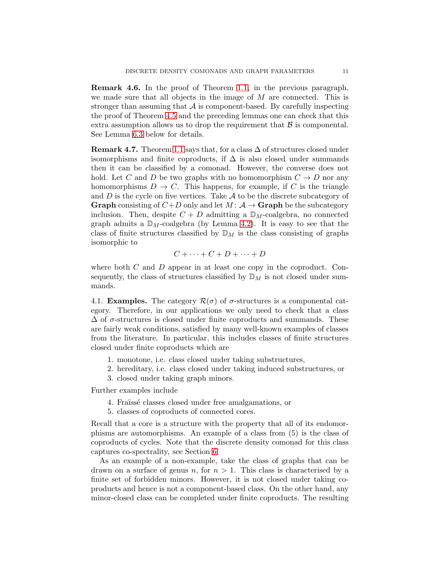Remark 4.6. In the proof of Theorem [1.1,](#page-1-0) in the previous paragraph, we made sure that all objects in the image of  $M$  are connected. This is stronger than assuming that  $A$  is component-based. By carefully inspecting the proof of Theorem [4.5](#page-9-1) and the preceding lemmas one can check that this extra assumption allows us to drop the requirement that  $\beta$  is componental. See Lemma [6.3](#page-17-0) below for details.

**Remark 4.7.** Theorem [1.1](#page-1-0) says that, for a class  $\Delta$  of structures closed under isomorphisms and finite coproducts, if  $\Delta$  is also closed under summands then it can be classified by a comonad. However, the converse does not hold. Let C and D be two graphs with no homomorphism  $C \to D$  nor any homomorphisms  $D \to C$ . This happens, for example, if C is the triangle and  $D$  is the cycle on five vertices. Take  $A$  to be the discrete subcategory of **Graph** consisting of  $C+D$  only and let  $M: A \rightarrow$  **Graph** be the subcategory inclusion. Then, despite  $C + D$  admitting a  $\mathbb{D}_M$ -coalgebra, no connected graph admits a  $\mathbb{D}_M$ -coalgebra (by Lemma [4.2\)](#page-8-2). It is easy to see that the class of finite structures classified by  $\mathbb{D}_M$  is the class consisting of graphs isomorphic to

$$
C + \cdots + C + D + \cdots + D
$$

where both  $C$  and  $D$  appear in at least one copy in the coproduct. Consequently, the class of structures classified by  $\mathbb{D}_M$  is not closed under summands.

4.1. **Examples.** The category  $\mathcal{R}(\sigma)$  of  $\sigma$ -structures is a componental category. Therefore, in our applications we only need to check that a class  $\Delta$  of  $\sigma$ -structures is closed under finite coproducts and summands. These are fairly weak conditions, satisfied by many well-known examples of classes from the literature. In particular, this includes classes of finite structures closed under finite coproducts which are

- 1. monotone, i.e. class closed under taking substructures,
- 2. hereditary, i.e. class closed under taking induced substructures, or
- 3. closed under taking graph minors.

Further examples include

- 4. Fraüssé classes closed under free amalgamations, or
- 5. classes of coproducts of connected cores.

Recall that a core is a structure with the property that all of its endomorphisms are automorphisms. An example of a class from (5) is the class of coproducts of cycles. Note that the discrete density comonad for this class captures co-spectrality, see Section [6.](#page-14-0)

As an example of a non-example, take the class of graphs that can be drawn on a surface of genus n, for  $n > 1$ . This class is characterised by a finite set of forbidden minors. However, it is not closed under taking coproducts and hence is not a component-based class. On the other hand, any minor-closed class can be completed under finite coproducts. The resulting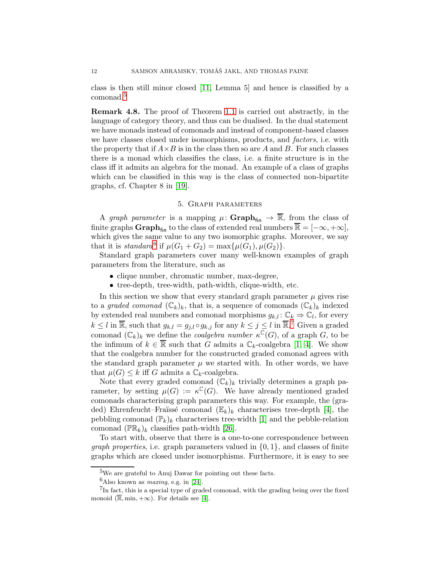class is then still minor closed [\[11,](#page-20-11) Lemma 5] and hence is classified by a comonad.[5](#page-11-1)

Remark 4.8. The proof of Theorem [1.1](#page-1-0) is carried out abstractly, in the language of category theory, and thus can be dualised. In the dual statement we have monads instead of comonads and instead of component-based classes we have classes closed under isomorphisms, products, and *factors*, i.e. with the property that if  $A \times B$  is in the class then so are A and B. For such classes there is a monad which classifies the class, i.e. a finite structure is in the class iff it admits an algebra for the monad. An example of a class of graphs which can be classified in this way is the class of connected non-bipartite graphs, cf. Chapter 8 in [\[19\]](#page-20-12).

## 5. Graph parameters

<span id="page-11-0"></span>A graph parameter is a mapping  $\mu: \mathbf{Graph}_{fin} \to \overline{\mathbb{R}}$ , from the class of finite graphs Graph<sub>fin</sub> to the class of extended real numbers  $\overline{\mathbb{R}} = [-\infty, +\infty]$ , which gives the same value to any two isomorphic graphs. Moreover, we say that it is *standard*<sup>[6](#page-11-2)</sup> if  $\mu(G_1 + G_2) = \max{\mu(G_1), \mu(G_2)}$ .

Standard graph parameters cover many well-known examples of graph parameters from the literature, such as

- clique number, chromatic number, max-degree,
- tree-depth, tree-width, path-width, clique-width, etc.

In this section we show that every standard graph parameter  $\mu$  gives rise to a graded comonad  $(\mathbb{C}_k)_k$ , that is, a sequence of comonads  $(\mathbb{C}_k)_k$  indexed by extended real numbers and comonad morphisms  $g_{k,l}: \mathbb{C}_k \Rightarrow \mathbb{C}_l$ , for every  $k \leq l$  in  $\overline{\mathbb{R}}$ , such that  $g_{k,l} = g_{j,l} \circ g_{k,j}$  for any  $k \leq j \leq l$  in  $\overline{\mathbb{R}}$ .<sup>[7](#page-11-3)</sup> Given a graded comonad  $(\mathbb{C}_k)_k$  we define the *coalgebra number*  $\kappa^{\mathbb{C}}(G)$ , of a graph G, to be the infimum of  $k \in \overline{\mathbb{R}}$  such that G admits a  $\mathbb{C}_k$ -coalgebra [\[1,](#page-19-0) [4\]](#page-20-0). We show that the coalgebra number for the constructed graded comonad agrees with the standard graph parameter  $\mu$  we started with. In other words, we have that  $\mu(G) \leq k$  iff G admits a  $\mathbb{C}_k$ -coalgebra.

Note that every graded comonad  $(\mathbb{C}_k)_k$  trivially determines a graph parameter, by setting  $\mu(G) := \kappa^{\mathbb{C}}(G)$ . We have already mentioned graded comonads characterising graph parameters this way. For example, the (graded) Ehrenfeucht–Fraüssé comonad  $(\mathbb{E}_k)_k$  characterises tree-depth [\[4\]](#page-20-0), the pebbling comonad  $(\mathbb{P}_k)_k$  characterises tree-width [\[1\]](#page-19-0) and the pebble-relation comonad  $(\mathbb{PR}_k)_k$  classifies path-width [\[26\]](#page-21-1).

To start with, observe that there is a one-to-one correspondence between *graph properties*, i.e. graph parameters valued in  $\{0, 1\}$ , and classes of finite graphs which are closed under isomorphisms. Furthermore, it is easy to see

<sup>&</sup>lt;sup>5</sup>We are grateful to Anuj Dawar for pointing out these facts.

<span id="page-11-2"></span><span id="page-11-1"></span> $6$ Also known as *maxing*, e.g. in [\[24\]](#page-20-13).

<span id="page-11-3"></span> ${}^{7}$ In fact, this is a special type of graded comonad, with the grading being over the fixed monoid  $(\overline{\mathbb{R}}, \min, +\infty)$ . For details see [\[4\]](#page-20-0).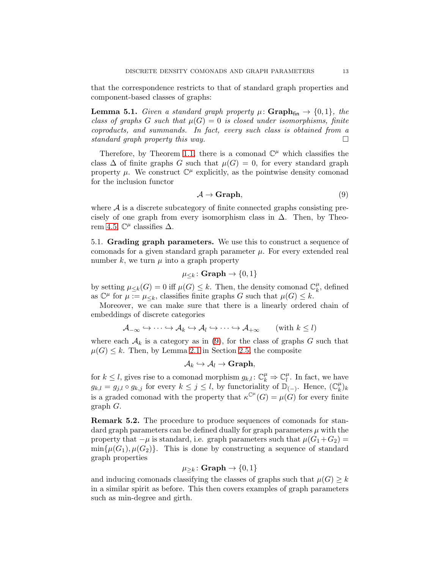that the correspondence restricts to that of standard graph properties and component-based classes of graphs:

**Lemma 5.1.** Given a standard graph property  $\mu$ : **Graph**<sub>fin</sub>  $\rightarrow$  {0, 1}, the class of graphs G such that  $\mu(G) = 0$  is closed under isomorphisms, finite coproducts, and summands. In fact, every such class is obtained from a standard graph property this way.  $\square$ 

Therefore, by Theorem [1.1,](#page-1-0) there is a comonad  $\mathbb{C}^{\mu}$  which classifies the class  $\Delta$  of finite graphs G such that  $\mu(G) = 0$ , for every standard graph property  $\mu$ . We construct  $\mathbb{C}^{\mu}$  explicitly, as the pointwise density comonad for the inclusion functor

<span id="page-12-0"></span>
$$
\mathcal{A} \to \mathbf{Graph},\tag{9}
$$

where  $A$  is a discrete subcategory of finite connected graphs consisting precisely of one graph from every isomorphism class in  $\Delta$ . Then, by Theo-rem [4.5,](#page-9-1)  $\mathbb{C}^{\mu}$  classifies  $\Delta$ .

5.1. Grading graph parameters. We use this to construct a sequence of comonads for a given standard graph parameter  $\mu$ . For every extended real number k, we turn  $\mu$  into a graph property

$$
\mu_{\leq k}\colon \mathbf{Graph} \to \{0,1\}
$$

by setting  $\mu_{\leq k}(G) = 0$  iff  $\mu(G) \leq k$ . Then, the density comonad  $\mathbb{C}_k^{\mu}$  $\frac{\mu}{k}$ , defined as  $\mathbb{C}^{\mu}$  for  $\mu := \mu_{\leq k}$ , classifies finite graphs G such that  $\mu(G) \leq k$ .

Moreover, we can make sure that there is a linearly ordered chain of embeddings of discrete categories

$$
\mathcal{A}_{-\infty} \hookrightarrow \cdots \hookrightarrow \mathcal{A}_k \hookrightarrow \mathcal{A}_l \hookrightarrow \cdots \hookrightarrow \mathcal{A}_{+\infty} \qquad (\text{with } k \leq l)
$$

where each  $\mathcal{A}_k$  is a category as in [\(9\)](#page-12-0), for the class of graphs G such that  $\mu(G) \leq k$ . Then, by Lemma [2.1](#page-5-3) in Section [2.5,](#page-5-4) the composite

$$
\mathcal{A}_{k}\hookrightarrow \mathcal{A}_{l}\rightarrow \mathbf{Graph},
$$

for  $k \leq l$ , gives rise to a comonad morphism  $g_{k,l}: \mathbb{C}_k^{\mu} \Rightarrow \mathbb{C}_l^{\mu}$  $\mu_l^{\mu}$ . In fact, we have  $g_{k,l} = g_{j,l} \circ g_{k,j}$  for every  $k \leq j \leq l$ , by functoriality of  $\mathbb{D}_{(-)}$ . Hence,  $(\mathbb{C}_{k}^{\mu})$  $_{k}^{\mu})_{k}$ is a graded comonad with the property that  $\kappa^{\mathbb{C}^{\mu}}(G) = \mu(G)$  for every finite graph G.

Remark 5.2. The procedure to produce sequences of comonads for standard graph parameters can be defined dually for graph parameters  $\mu$  with the property that  $-\mu$  is standard, i.e. graph parameters such that  $\mu(G_1+G_2)$  =  $\min{\{\mu(G_1), \mu(G_2)\}}$ . This is done by constructing a sequence of standard graph properties

$$
\mu_{\geq k}\colon \mathbf{Graph} \to \{0,1\}
$$

and inducing comonads classifying the classes of graphs such that  $\mu(G) \geq k$ in a similar spirit as before. This then covers examples of graph parameters such as min-degree and girth.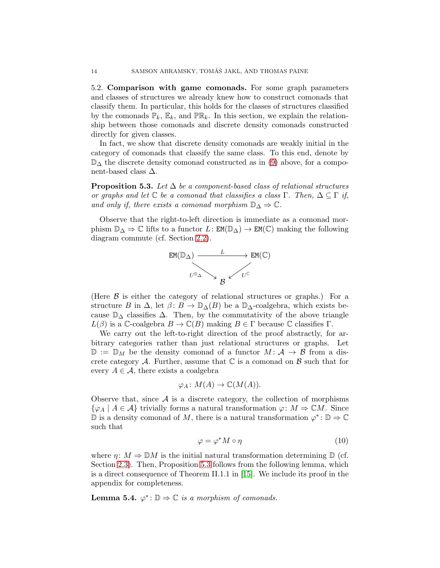5.2. Comparison with game comonads. For some graph parameters and classes of structures we already knew how to construct comonads that classify them. In particular, this holds for the classes of structures classified by the comonads  $\mathbb{P}_k$ ,  $\mathbb{E}_k$ , and  $\mathbb{PR}_k$ . In this section, we explain the relationship between those comonads and discrete density comonads constructed directly for given classes.

In fact, we show that discrete density comonads are weakly initial in the category of comonads that classify the same class. To this end, denote by  $\mathbb{D}_{\Delta}$  the discrete density comonad constructed as in [\(9\)](#page-12-0) above, for a component-based class  $\Delta$ .

<span id="page-13-0"></span>**Proposition 5.3.** Let  $\Delta$  be a component-based class of relational structures or graphs and let  $\mathbb C$  be a comonad that classifies a class Γ. Then,  $\Delta \subseteq \Gamma$  if, and only if, there exists a comonad morphism  $\mathbb{D}_{\Delta} \Rightarrow \mathbb{C}$ .

Observe that the right-to-left direction is immediate as a comonad morphism  $\mathbb{D}_{\Delta} \Rightarrow \mathbb{C}$  lifts to a functor  $L: \text{EM}(\mathbb{D}_{\Delta}) \to \text{EM}(\mathbb{C})$  making the following diagram commute (cf. Section [2.2\)](#page-3-2).



(Here B is either the category of relational structures or graphs.) For a structure B in  $\Delta$ , let  $\beta: B \to \mathbb{D}_{\Delta}(B)$  be a  $\mathbb{D}_{\Delta}$ -coalgebra, which exists because  $\mathbb{D}_{\Delta}$  classifies  $\Delta$ . Then, by the commutativity of the above triangle  $L(\beta)$  is a C-coalgebra  $B \to \mathbb{C}(B)$  making  $B \in \Gamma$  because C classifies  $\Gamma$ .

We carry out the left-to-right direction of the proof abstractly, for arbitrary categories rather than just relational structures or graphs. Let  $\mathbb{D} := \mathbb{D}_M$  be the density comonad of a functor  $M : \mathcal{A} \to \mathcal{B}$  from a discrete category A. Further, assume that  $\mathbb C$  is a comonad on  $\mathcal B$  such that for every  $A \in \mathcal{A}$ , there exists a coalgebra

$$
\varphi_A\colon M(A)\to \mathbb{C}(M(A)).
$$

Observe that, since  $A$  is a discrete category, the collection of morphisms  $\{\varphi_A \mid A \in \mathcal{A}\}\$ trivially forms a natural transformation  $\varphi \colon M \Rightarrow \mathbb{C}M$ . Since  $\mathbb D$  is a density comonad of M, there is a natural transformation  $\varphi^*$ :  $\mathbb D \to \mathbb C$ such that

<span id="page-13-1"></span>
$$
\varphi = \varphi^* M \circ \eta \tag{10}
$$

where  $\eta: M \Rightarrow \mathbb{D}M$  is the initial natural transformation determining  $\mathbb{D}$  (cf. Section [2.3\)](#page-4-1). Then, Proposition [5.3](#page-13-0) follows from the following lemma, which is a direct consequence of Theorem II.1.1 in [\[15\]](#page-20-9). We include its proof in the appendix for completeness.

**Lemma 5.4.**  $\varphi^* : \mathbb{D} \Rightarrow \mathbb{C}$  is a morphism of comonads.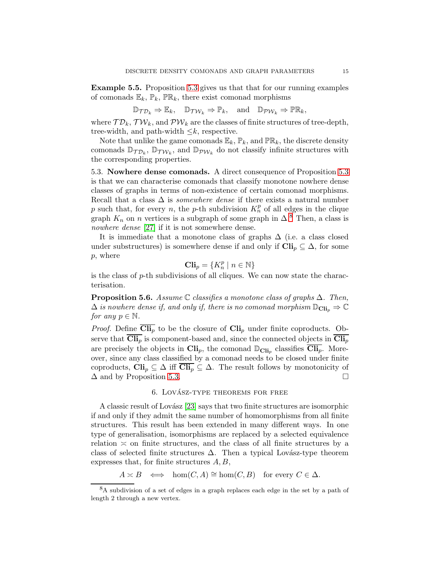Example 5.5. Proposition [5.3](#page-13-0) gives us that that for our running examples of comonads  $\mathbb{E}_k$ ,  $\mathbb{P}_k$ ,  $\mathbb{PR}_k$ , there exist comonad morphisms

$$
\mathbb{D}_{\mathcal{TD}_k} \Rightarrow \mathbb{E}_k, \quad \mathbb{D}_{\mathcal{TW}_k} \Rightarrow \mathbb{P}_k, \quad \text{and} \quad \mathbb{D}_{\mathcal{PW}_k} \Rightarrow \mathbb{PR}_k,
$$

where  $\mathcal{TD}_k$ ,  $\mathcal{TW}_k$ , and  $\mathcal{PW}_k$  are the classes of finite structures of tree-depth, tree-width, and path-width  $\leq k$ , respective.

Note that unlike the game comonads  $\mathbb{E}_k$ ,  $\mathbb{P}_k$ , and  $\mathbb{PR}_k$ , the discrete density comonads  $\mathbb{D}_{\mathcal{TD}_k}$ ,  $\mathbb{D}_{\mathcal{TW}_k}$ , and  $\mathbb{D}_{\mathcal{PW}_k}$  do not classify infinite structures with the corresponding properties.

5.3. Nowhere dense comonads. A direct consequence of Proposition [5.3](#page-13-0) is that we can characterise comonads that classify monotone nowhere dense classes of graphs in terms of non-existence of certain comonad morphisms. Recall that a class  $\Delta$  is *somewhere dense* if there exists a natural number p such that, for every n, the p-th subdivision  $K_n^p$  of all edges in the clique graph  $K_n$  on n vertices is a subgraph of some graph in  $\Delta$ .<sup>[8](#page-14-1)</sup> Then, a class is nowhere dense [\[27\]](#page-21-0) if it is not somewhere dense.

It is immediate that a monotone class of graphs  $\Delta$  (i.e. a class closed under substructures) is somewhere dense if and only if  $\text{Cli}_p \subseteq \Delta$ , for some p, where

$$
\mathbf{Cli}_{p} = \{ K_{n}^{p} \mid n \in \mathbb{N} \}
$$

is the class of  $p$ -th subdivisions of all cliques. We can now state the characterisation.

**Proposition 5.6.** Assume  $\mathbb C$  classifies a monotone class of graphs  $\Delta$ . Then,  $\Delta$  is nowhere dense if, and only if, there is no comonad morphism  $\mathbb{D}_{\text{Cli}_p} \Rightarrow \mathbb{C}$ for any  $p \in \mathbb{N}$ .

*Proof.* Define  $\overline{\text{Cli}_p}$  to be the closure of  $\text{Cli}_p$  under finite coproducts. Observe that  $\text{Cli}_p$  is component-based and, since the connected objects in  $\text{Cli}_p$ are precisely the objects in  $\text{Cli}_p$ , the comonad  $\mathbb{D}_{\text{Cli}_p}$  classifies  $\overline{\text{Cli}_p}$ . Moreover, since any class classified by a comonad needs to be closed under finite coproducts,  $\text{Cli}_p \subseteq \Delta$  iff  $\text{Cli}_p \subseteq \Delta$ . The result follows by monotonicity of  $\Delta$  and by Proposition [5.3.](#page-13-0)

# 6. LOVÁSZ-TYPE THEOREMS FOR FREE

<span id="page-14-0"></span>A classic result of Lovász [\[23\]](#page-20-14) says that two finite structures are isomorphic if and only if they admit the same number of homomorphisms from all finite structures. This result has been extended in many different ways. In one type of generalisation, isomorphisms are replaced by a selected equivalence relation  $\approx$  on finite structures, and the class of all finite structures by a class of selected finite structures  $\Delta$ . Then a typical Lovász-type theorem expresses that, for finite structures  $A, B$ ,

 $A \succeq B \iff \hom(C, A) \cong \hom(C, B)$  for every  $C \in \Delta$ .

<span id="page-14-1"></span><sup>8</sup>A subdivision of a set of edges in a graph replaces each edge in the set by a path of length 2 through a new vertex.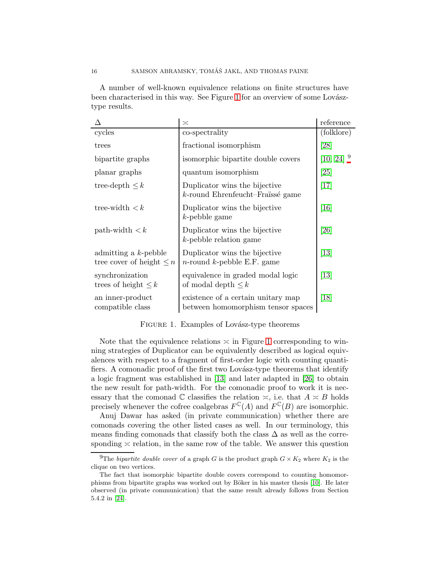A number of well-known equivalence relations on finite structures have been characterised in this way. See Figure [1](#page-15-0) for an overview of some Lovásztype results.

|                                                          | $\asymp$                                                                    | reference                    |
|----------------------------------------------------------|-----------------------------------------------------------------------------|------------------------------|
| cycles                                                   | co-spectrality                                                              | (folklore)                   |
| trees                                                    | fractional isomorphism                                                      | [28]                         |
| bipartite graphs                                         | isomorphic bipartite double covers                                          | $[10, 24]$ <sup>9</sup>      |
| planar graphs                                            | quantum isomorphism                                                         | $\left[ 25\right]$           |
| tree-depth $\leq k$                                      | Duplicator wins the bijective<br>$k$ -round Ehrenfeucht-Fraïssé game        | $[17]$                       |
| tree-width $\lt k$                                       | Duplicator wins the bijective<br>$k$ -pebble game                           | [16]                         |
| $path-width < k$                                         | Duplicator wins the bijective<br>$k$ -pebble relation game                  | [26]                         |
| admitting a $k$ -pebble<br>tree cover of height $\leq n$ | Duplicator wins the bijective<br><i>n</i> -round <i>k</i> -pebble E.F. game | $\left[13\right]$            |
| synchronization<br>trees of height $\leq k$              | equivalence in graded modal logic<br>of modal depth $\leq k$                | $\left\lceil 13\right\rceil$ |
| an inner-product<br>compatible class                     | existence of a certain unitary map<br>between homomorphism tensor spaces    | $\left[18\right]$            |

<span id="page-15-0"></span>FIGURE 1. Examples of Lovász-type theorems

Note that the equivalence relations  $\approx$  in Figure [1](#page-15-0) corresponding to winning strategies of Duplicator can be equivalently described as logical equivalences with respect to a fragment of first-order logic with counting quantifiers. A comonadic proof of the first two Lovász-type theorems that identify a logic fragment was established in [\[13\]](#page-20-2) and later adapted in [\[26\]](#page-21-1) to obtain the new result for path-width. For the comonadic proof to work it is necessary that the comonad  $\mathbb C$  classifies the relation  $\asymp$ , i.e. that  $A \asymp B$  holds precisely whenever the cofree coalgebras  $F^{\mathbb{C}}(A)$  and  $F^{\mathbb{C}}(B)$  are isomorphic.

Anuj Dawar has asked (in private communication) whether there are comonads covering the other listed cases as well. In our terminology, this means finding comonads that classify both the class  $\Delta$  as well as the corresponding  $\leq$  relation, in the same row of the table. We answer this question

<sup>&</sup>lt;sup>9</sup>The *bipartite double cover* of a graph G is the product graph  $G \times K_2$  where  $K_2$  is the clique on two vertices.

The fact that isomorphic bipartite double covers correspond to counting homomor-phisms from bipartite graphs was worked out by Böker in his master thesis [\[10\]](#page-20-15). He later observed (in private communication) that the same result already follows from Section 5.4.2 in [\[24\]](#page-20-13).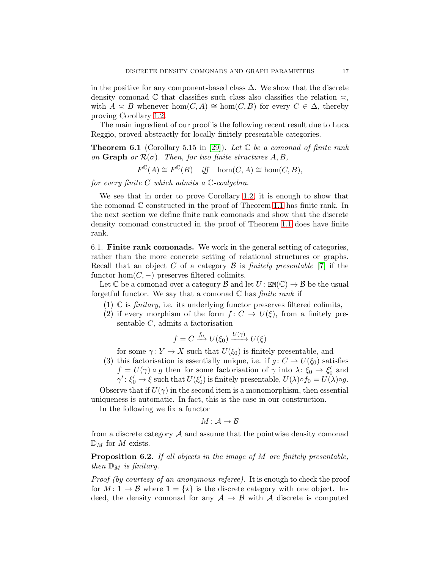in the positive for any component-based class  $\Delta$ . We show that the discrete density comonad  $\mathbb C$  that classifies such class also classifies the relation  $\asymp$ , with  $A \simeq B$  whenever  $hom(C, A) \cong hom(C, B)$  for every  $C \in \Delta$ , thereby proving Corollary [1.2.](#page-2-1)

The main ingredient of our proof is the following recent result due to Luca Reggio, proved abstractly for locally finitely presentable categories.

<span id="page-16-1"></span>**Theorem 6.1** (Corollary 5.15 in [\[29\]](#page-21-2)). Let  $\mathbb{C}$  be a comonad of finite rank on Graph or  $\mathcal{R}(\sigma)$ . Then, for two finite structures  $A, B$ ,

 $F^{\mathbb{C}}(A) \cong F^{\mathbb{C}}(B)$  iff  $hom(C, A) \cong hom(C, B),$ 

for every finite  $C$  which admits a  $\mathbb{C}$ -coalgebra.

We see that in order to prove Corollary [1.2,](#page-2-1) it is enough to show that the comonad  $\mathbb C$  constructed in the proof of Theorem [1.1](#page-1-0) has finite rank. In the next section we define finite rank comonads and show that the discrete density comonad constructed in the proof of Theorem [1.1](#page-1-0) does have finite rank.

6.1. Finite rank comonads. We work in the general setting of categories, rather than the more concrete setting of relational structures or graphs. Recall that an object C of a category  $\mathcal B$  is *finitely presentable* [\[7\]](#page-20-19) if the functor hom $(C, -)$  preserves filtered colimits.

Let  $\mathbb C$  be a comonad over a category  $\mathcal B$  and let  $U: \mathbb{EM}(\mathbb C) \to \mathcal B$  be the usual forgetful functor. We say that a comonad  $\mathbb C$  has *finite rank* if

- (1)  $\mathbb C$  is *finitary*, i.e. its underlying functor preserves filtered colimits,
- (2) if every morphism of the form  $f: C \to U(\xi)$ , from a finitely presentable C, admits a factorisation

$$
f = C \xrightarrow{f_0} U(\xi_0) \xrightarrow{U(\gamma)} U(\xi)
$$

for some  $\gamma: Y \to X$  such that  $U(\xi_0)$  is finitely presentable, and

(3) this factorisation is essentially unique, i.e. if  $g: C \to U(\xi_0)$  satisfies  $f = U(\gamma) \circ g$  then for some factorisation of  $\gamma$  into  $\lambda: \xi_0 \to \xi'_0$  and  $\gamma' : \xi'_0 \to \xi$  such that  $U(\xi'_0)$  is finitely presentable,  $U(\lambda) \circ f_0 = U(\lambda) \circ g$ .

Observe that if  $U(\gamma)$  in the second item is a monomorphism, then essential uniqueness is automatic. In fact, this is the case in our construction.

In the following we fix a functor

$$
M\colon \mathcal{A}\to \mathcal{B}
$$

from a discrete category  $A$  and assume that the pointwise density comonad  $\mathbb{D}_M$  for M exists.

<span id="page-16-0"></span>Proposition 6.2. If all objects in the image of M are finitely presentable, then  $\mathbb{D}_M$  is finitary.

Proof (by courtesy of an anonymous referee). It is enough to check the proof for  $M: \mathbf{1} \to \mathcal{B}$  where  $\mathbf{1} = \{\star\}$  is the discrete category with one object. Indeed, the density comonad for any  $A \rightarrow B$  with A discrete is computed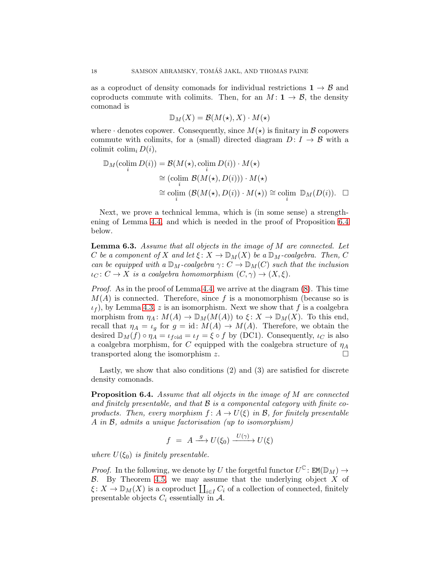as a coproduct of density comonads for individual restrictions  $1 \rightarrow \mathcal{B}$  and coproducts commute with colimits. Then, for an  $M: \mathbf{1} \to \mathcal{B}$ , the density comonad is

$$
\mathbb{D}_M(X) = \mathcal{B}(M(\star), X) \cdot M(\star)
$$

where  $\cdot$  denotes copower. Consequently, since  $M(\star)$  is finitary in  $\beta$  copowers commute with colimits, for a (small) directed diagram  $D: I \rightarrow \mathcal{B}$  with a colimit colim<sub>i</sub>  $D(i)$ ,

$$
\mathbb{D}_M(\operatorname{colim}_i D(i)) = \mathcal{B}(M(\star), \operatorname{colim}_i D(i)) \cdot M(\star)
$$
  
\n
$$
\cong (\operatorname{colim}_i \mathcal{B}(M(\star), D(i))) \cdot M(\star)
$$
  
\n
$$
\cong \operatorname{colim}_i (\mathcal{B}(M(\star), D(i)) \cdot M(\star)) \cong \operatorname{colim}_i \mathbb{D}_M(D(i)). \quad \Box
$$

Next, we prove a technical lemma, which is (in some sense) a strengthening of Lemma [4.4,](#page-8-0) and which is needed in the proof of Proposition [6.4](#page-17-1) below.

<span id="page-17-0"></span>Lemma 6.3. Assume that all objects in the image of M are connected. Let C be a component of X and let  $\xi: X \to \mathbb{D}_M(X)$  be a  $\mathbb{D}_M$ -coalgebra. Then, C can be equipped with a  $\mathbb{D}_M$ -coalgebra  $\gamma: C \to \mathbb{D}_M(C)$  such that the inclusion  $\iota_C \colon C \to X$  is a coalgebra homomorphism  $(C, \gamma) \to (X, \xi)$ .

Proof. As in the proof of Lemma [4.4,](#page-8-0) we arrive at the diagram [\(8\)](#page-9-2). This time  $M(A)$  is connected. Therefore, since f is a monomorphism (because so is  $\iota_f$ , by Lemma [4.3,](#page-8-1) z is an isomorphism. Next we show that f is a coalgebra morphism from  $\eta_A \colon M(A) \to \mathbb{D}_M(M(A))$  to  $\xi \colon X \to \mathbb{D}_M(X)$ . To this end, recall that  $\eta_A = \iota_q$  for  $g = id : M(A) \to M(A)$ . Therefore, we obtain the desired  $\mathbb{D}_M(f) \circ \eta_A = \iota_{f \circ id} = \iota_f = \xi \circ f$  by (DC1). Consequently,  $\iota_C$  is also a coalgebra morphism, for C equipped with the coalgebra structure of  $\eta_A$ transported along the isomorphism z.  $\square$ 

Lastly, we show that also conditions (2) and (3) are satisfied for discrete density comonads.

<span id="page-17-1"></span>Proposition 6.4. Assume that all objects in the image of M are connected and finitely presentable, and that  $\mathcal B$  is a componental category with finite coproducts. Then, every morphism  $f: A \to U(\xi)$  in B, for finitely presentable A in B, admits a unique factorisation (up to isomorphism)

$$
f = A \xrightarrow{g} U(\xi_0) \xrightarrow{U(\gamma)} U(\xi)
$$

where  $U(\xi_0)$  is finitely presentable.

*Proof.* In the following, we denote by U the forgetful functor  $U^{\mathbb{C}}$ :  $EM(\mathbb{D}_M) \rightarrow$  $\beta$ . By Theorem [4.5,](#page-9-1) we may assume that the underlying object X of  $\xi \colon X \to \mathbb{D}_M(X)$  is a coproduct  $\coprod_{i \in I} C_i$  of a collection of connected, finitely presentable objects  $C_i$  essentially in A.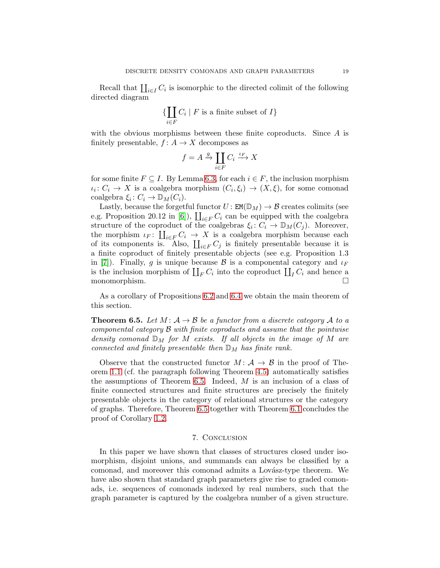Recall that  $\prod_{i\in I} C_i$  is isomorphic to the directed colimit of the following directed diagram

$$
\{\coprod_{i\in F} C_i \mid F \text{ is a finite subset of } I\}
$$

with the obvious morphisms between these finite coproducts. Since  $A$  is finitely presentable,  $f: A \to X$  decomposes as

$$
f = A \xrightarrow{g} \coprod_{i \in F} C_i \xrightarrow{\iota_F} X
$$

for some finite  $F \subseteq I$ . By Lemma [6.3,](#page-17-0) for each  $i \in F$ , the inclusion morphism  $\iota_i: C_i \to X$  is a coalgebra morphism  $(C_i, \xi_i) \to (X, \xi)$ , for some comonad coalgebra  $\xi_i: C_i \to \mathbb{D}_M(C_i)$ .

Lastly, because the forgetful functor  $U : EM(D_M) \to B$  creates colimits (see e.g. Proposition 20.12 in [\[6\]](#page-20-20)),  $\prod_{i \in F} C_i$  can be equipped with the coalgebra structure of the coproduct of the coalgebras  $\xi_i: C_i \to \mathbb{D}_M(C_j)$ . Moreover, the morphism  $\iota_F: \coprod_{i\in F} C_i \to X$  is a coalgebra morphism because each of its components is. Also,  $\coprod_{i\in F} C_j$  is finitely presentable because it is a finite coproduct of finitely presentable objects (see e.g. Proposition 1.3 in [\[7\]](#page-20-19)). Finally, g is unique because B is a componental category and  $\iota_F$ is the inclusion morphism of  $\coprod_F C_i$  into the coproduct  $\coprod_I C_i$  and hence a monomorphism.

As a corollary of Propositions [6.2](#page-16-0) and [6.4](#page-17-1) we obtain the main theorem of this section.

<span id="page-18-0"></span>**Theorem 6.5.** Let  $M: A \rightarrow B$  be a functor from a discrete category A to a componental category B with finite coproducts and assume that the pointwise density comonad  $\mathbb{D}_M$  for M exists. If all objects in the image of M are connected and finitely presentable then  $\mathbb{D}_M$  has finite rank.

Observe that the constructed functor  $M: \mathcal{A} \to \mathcal{B}$  in the proof of Theorem [1.1](#page-1-0) (cf. the paragraph following Theorem [4.5\)](#page-9-1) automatically satisfies the assumptions of Theorem [6.5.](#page-18-0) Indeed,  $M$  is an inclusion of a class of finite connected structures and finite structures are precisely the finitely presentable objects in the category of relational structures or the category of graphs. Therefore, Theorem [6.5](#page-18-0) together with Theorem [6.1](#page-16-1) concludes the proof of Corollary [1.2.](#page-2-1)

# 7. Conclusion

In this paper we have shown that classes of structures closed under isomorphism, disjoint unions, and summands can always be classified by a comonad, and moreover this comonad admits a Lovász-type theorem. We have also shown that standard graph parameters give rise to graded comonads, i.e. sequences of comonads indexed by real numbers, such that the graph parameter is captured by the coalgebra number of a given structure.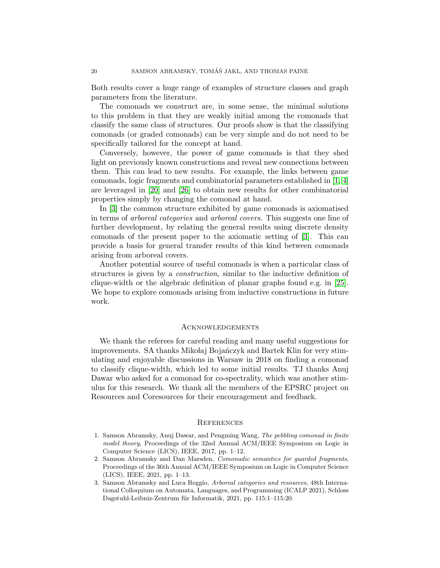Both results cover a huge range of examples of structure classes and graph parameters from the literature.

The comonads we construct are, in some sense, the minimal solutions to this problem in that they are weakly initial among the comonads that classify the same class of structures. Our proofs show is that the classifying comonads (or graded comonads) can be very simple and do not need to be specifically tailored for the concept at hand.

Conversely, however, the power of game comonads is that they shed light on previously known constructions and reveal new connections between them. This can lead to new results. For example, the links between game comonads, logic fragments and combinatorial parameters established in [\[1,](#page-19-0) [4\]](#page-20-0) are leveraged in [\[20\]](#page-20-21) and [\[26\]](#page-21-1) to obtain new results for other combinatorial properties simply by changing the comonad at hand.

In [\[3\]](#page-19-2) the common structure exhibited by game comonads is axiomatised in terms of arboreal categories and arboreal covers. This suggests one line of further development, by relating the general results using discrete density comonads of the present paper to the axiomatic setting of [\[3\]](#page-19-2). This can provide a basis for general transfer results of this kind between comonads arising from arboreal covers.

Another potential source of useful comonads is when a particular class of structures is given by a construction, similar to the inductive definition of clique-width or the algebraic definition of planar graphs found e.g. in [\[25\]](#page-20-4). We hope to explore comonads arising from inductive constructions in future work.

## **ACKNOWLEDGEMENTS**

We thank the referees for careful reading and many useful suggestions for improvements. SA thanks Mikołaj Bojańczyk and Bartek Klin for very stimulating and enjoyable discussions in Warsaw in 2018 on finding a comonad to classify clique-width, which led to some initial results. TJ thanks Anuj Dawar who asked for a comonad for co-spectrality, which was another stimulus for this research. We thank all the members of the EPSRC project on Resources and Coresources for their encouragement and feedback.

#### **REFERENCES**

- <span id="page-19-0"></span>1. Samson Abramsky, Anuj Dawar, and Pengming Wang, The pebbling comonad in finite model theory, Proceedings of the 32nd Annual ACM/IEEE Symposium on Logic in Computer Science (LICS), IEEE, 2017, pp. 1–12.
- <span id="page-19-1"></span>2. Samson Abramsky and Dan Marsden, Comonadic semantics for guarded fragments, Proceedings of the 36th Annual ACM/IEEE Symposium on Logic in Computer Science (LICS), IEEE, 2021, pp. 1–13.
- <span id="page-19-2"></span>3. Samson Abramsky and Luca Reggio, Arboreal categories and resources, 48th International Colloquium on Automata, Languages, and Programming (ICALP 2021), Schloss Dagstuhl-Leibniz-Zentrum für Informatik, 2021, pp. 115:1-115:20.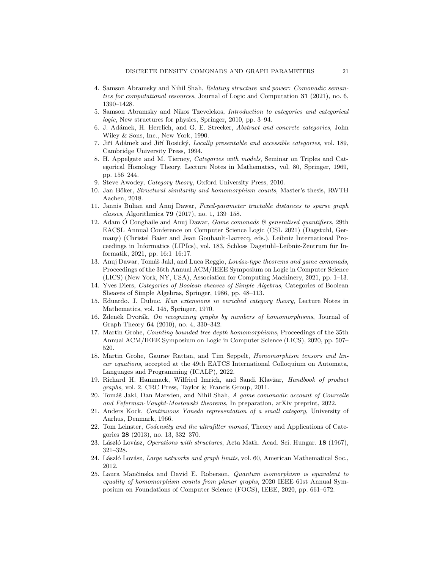- <span id="page-20-0"></span>4. Samson Abramsky and Nihil Shah, Relating structure and power: Comonadic semantics for computational resources, Journal of Logic and Computation 31 (2021), no. 6, 1390–1428.
- <span id="page-20-5"></span>5. Samson Abramsky and Nikos Tzevelekos, Introduction to categories and categorical logic, New structures for physics, Springer, 2010, pp. 3–94.
- <span id="page-20-20"></span><span id="page-20-19"></span>6. J. Ad´amek, H. Herrlich, and G. E. Strecker, Abstract and concrete categories, John Wiley & Sons, Inc., New York, 1990.
- <span id="page-20-7"></span>7. Jiří Adámek and Jiří Rosický, Locally presentable and accessible categories, vol. 189, Cambridge University Press, 1994.
- 8. H. Appelgate and M. Tierney, Categories with models, Seminar on Triples and Categorical Homology Theory, Lecture Notes in Mathematics, vol. 80, Springer, 1969, pp. 156–244.
- <span id="page-20-15"></span><span id="page-20-6"></span>9. Steve Awodey, Category theory, Oxford University Press, 2010.
- 10. Jan Böker, Structural similarity and homomorphism counts, Master's thesis, RWTH Aachen, 2018.
- <span id="page-20-11"></span><span id="page-20-1"></span>11. Jannis Bulian and Anuj Dawar, Fixed-parameter tractable distances to sparse graph classes, Algorithmica 79 (2017), no. 1, 139–158.
- 12. Adam Ó Conghaile and Anuj Dawar, *Game comonads & generalised quantifiers*, 29th EACSL Annual Conference on Computer Science Logic (CSL 2021) (Dagstuhl, Germany) (Christel Baier and Jean Goubault-Larrecq, eds.), Leibniz International Proceedings in Informatics (LIPIcs), vol. 183, Schloss Dagstuhl–Leibniz-Zentrum für Informatik, 2021, pp. 16:1–16:17.
- <span id="page-20-2"></span>13. Anuj Dawar, Tomáš Jakl, and Luca Reggio, Lovász-type theorems and game comonads, Proceedings of the 36th Annual ACM/IEEE Symposium on Logic in Computer Science (LICS) (New York, NY, USA), Association for Computing Machinery, 2021, pp. 1–13.
- <span id="page-20-3"></span>14. Yves Diers, Categories of Boolean sheaves of Simple Algebras, Categories of Boolean Sheaves of Simple Algebras, Springer, 1986, pp. 48–113.
- <span id="page-20-9"></span>15. Eduardo. J. Dubuc, Kan extensions in enriched category theory, Lecture Notes in Mathematics, vol. 145, Springer, 1970.
- <span id="page-20-17"></span>16. Zdeněk Dvořák, On recognizing graphs by numbers of homomorphisms, Journal of Graph Theory 64 (2010), no. 4, 330–342.
- <span id="page-20-16"></span>17. Martin Grohe, Counting bounded tree depth homomorphisms, Proceedings of the 35th Annual ACM/IEEE Symposium on Logic in Computer Science (LICS), 2020, pp. 507– 520.
- <span id="page-20-18"></span>18. Martin Grohe, Gaurav Rattan, and Tim Seppelt, Homomorphism tensors and linear equations, accepted at the 49th EATCS International Colloquium on Automata, Languages and Programming (ICALP), 2022.
- <span id="page-20-12"></span>19. Richard H. Hammack, Wilfried Imrich, and Sandi Klavžar, Handbook of product graphs, vol. 2, CRC Press, Taylor & Francis Group, 2011.
- <span id="page-20-21"></span>20. Tomáš Jakl, Dan Marsden, and Nihil Shah, A game comonadic account of Courcelle and Feferman-Vaught-Mostowski theorems, In preparation, arXiv preprint, 2022.
- <span id="page-20-8"></span>21. Anders Kock, Continuous Yoneda representation of a small category, University of Aarhus, Denmark, 1966.
- <span id="page-20-10"></span>22. Tom Leinster, Codensity and the ultrafilter monad, Theory and Applications of Categories 28 (2013), no. 13, 332–370.
- <span id="page-20-14"></span><span id="page-20-13"></span>23. László Lovász, Operations with structures, Acta Math. Acad. Sci. Hungar. 18 (1967), 321–328.
- <span id="page-20-4"></span>24. László Lovász, Large networks and graph limits, vol. 60, American Mathematical Soc., 2012.
- 25. Laura Mančinska and David E. Roberson, Quantum isomorphism is equivalent to equality of homomorphism counts from planar graphs, 2020 IEEE 61st Annual Symposium on Foundations of Computer Science (FOCS), IEEE, 2020, pp. 661–672.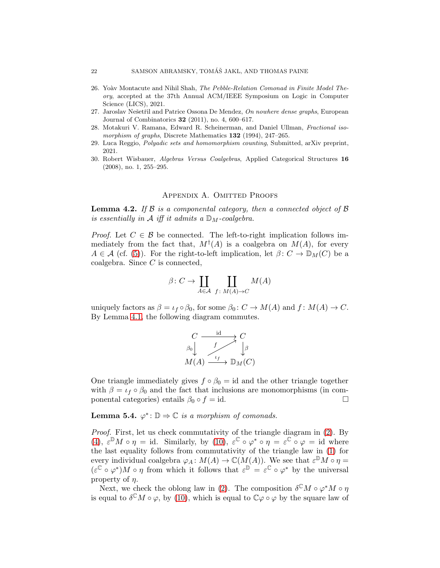- <span id="page-21-1"></span>26. Yoàv Montacute and Nihil Shah, The Pebble-Relation Comonad in Finite Model Theory, accepted at the 37th Annual ACM/IEEE Symposium on Logic in Computer Science (LICS), 2021.
- <span id="page-21-4"></span><span id="page-21-0"></span>27. Jaroslav Nešetřil and Patrice Ossona De Mendez, On nowhere dense graphs, European Journal of Combinatorics 32 (2011), no. 4, 600–617.
- <span id="page-21-2"></span>28. Motakuri V. Ramana, Edward R. Scheinerman, and Daniel Ullman, Fractional isomorphism of graphs, Discrete Mathematics 132 (1994), 247–265.
- <span id="page-21-3"></span>29. Luca Reggio, Polyadic sets and homomorphism counting, Submitted, arXiv preprint, 2021.
- 30. Robert Wisbauer, Algebras Versus Coalgebras, Applied Categorical Structures 16 (2008), no. 1, 255–295.

## APPENDIX A. OMITTED PROOFS

**Lemma 4.2.** If  $\beta$  is a componental category, then a connected object of  $\beta$ is essentially in A iff it admits a  $\mathbb{D}_M$ -coalgebra.

*Proof.* Let  $C \in \mathcal{B}$  be connected. The left-to-right implication follows immediately from the fact that,  $M^{\dagger}(A)$  is a coalgebra on  $M(A)$ , for every  $A \in \mathcal{A}$  (cf. [\(5\)](#page-5-2)). For the right-to-left implication, let  $\beta: C \to \mathbb{D}_M(C)$  be a coalgebra. Since  $C$  is connected,

$$
\beta \colon C \to \coprod_{A \in \mathcal{A}} \coprod_{f \colon M(A) \to C} M(A)
$$

uniquely factors as  $\beta = \iota_f \circ \beta_0$ , for some  $\beta_0 : C \to M(A)$  and  $f : M(A) \to C$ . By Lemma [4.1,](#page-7-2) the following diagram commutes.



One triangle immediately gives  $f \circ \beta_0 = id$  and the other triangle together with  $\beta = \iota_f \circ \beta_0$  and the fact that inclusions are monomorphisms (in componental categories) entails  $\beta_0 \circ f = id$ .

**Lemma 5.4.**  $\varphi^* \colon \mathbb{D} \to \mathbb{C}$  is a morphism of comonads.

Proof. First, let us check commutativity of the triangle diagram in [\(2\)](#page-3-3). By [\(4\)](#page-5-0),  $\varepsilon^{\mathbb{D}} M \circ \eta = \text{id}$ . Similarly, by [\(10\)](#page-13-1),  $\varepsilon^{\mathbb{C}} \circ \varphi^* \circ \eta = \varepsilon^{\mathbb{C}} \circ \varphi = \text{id}$  where the last equality follows from commutativity of the triangle law in [\(1\)](#page-3-1) for every individual coalgebra  $\varphi_A \colon M(A) \to \mathbb{C}(M(A))$ . We see that  $\varepsilon^{\mathbb{D}} M \circ \eta =$  $(\varepsilon^{\mathbb{C}} \circ \varphi^*)M \circ \eta$  from which it follows that  $\varepsilon^{\mathbb{D}} = \varepsilon^{\mathbb{C}} \circ \varphi^*$  by the universal property of  $\eta$ .

Next, we check the oblong law in [\(2\)](#page-3-3). The composition  $\delta^{\mathbb{C}}M \circ \varphi^*M \circ \eta$ is equal to  $\delta^{\mathbb{C}}M\circ\varphi$ , by [\(10\)](#page-13-1), which is equal to  $\mathbb{C}\varphi\circ\varphi$  by the square law of